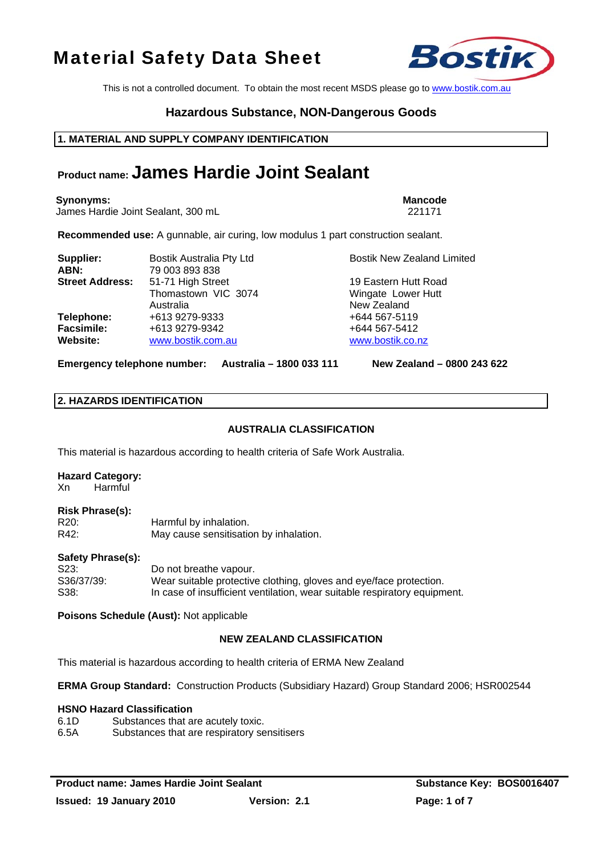This is not a controlled document. To obtain the most recent MSDS please go to www.bostik.com.au

# **Hazardous Substance, NON-Dangerous Goods**

# **1. MATERIAL AND SUPPLY COMPANY IDENTIFICATION**

# **Product name: James Hardie Joint Sealant**

#### **Synonyms:** Mancode **Mancode Mancode Mancode Mancode Mancode Mancode**

James Hardie Joint Sealant, 300 mL 221171

**Recommended use:** A gunnable, air curing, low modulus 1 part construction sealant.

| Supplier:<br>ABN:                           | Bostik Australia Pty Ltd<br>79 003 893 838            | <b>Bostik New Zealand Limited</b>                         |
|---------------------------------------------|-------------------------------------------------------|-----------------------------------------------------------|
| <b>Street Address:</b>                      | 51-71 High Street<br>Thomastown VIC 3074<br>Australia | 19 Eastern Hutt Road<br>Wingate Lower Hutt<br>New Zealand |
| Telephone:<br><b>Facsimile:</b><br>Website: | +613 9279-9333<br>+613 9279-9342<br>www.bostik.com.au | +644 567-5119<br>+644 567-5412<br>www.bostik.co.nz        |

**Emergency telephone number: Australia – 1800 033 111 New Zealand – 0800 243 622**

# **2. HAZARDS IDENTIFICATION**

# **AUSTRALIA CLASSIFICATION**

This material is hazardous according to health criteria of Safe Work Australia.

# **Hazard Category:**

Xn Harmful

# **Risk Phrase(s):**

| .<br>R20: | Harmful by inhalation.                 |
|-----------|----------------------------------------|
| R42:      | May cause sensitisation by inhalation. |

### **Safety Phrase(s):**

| S23:       | Do not breathe vapour.                                                    |
|------------|---------------------------------------------------------------------------|
| S36/37/39: | Wear suitable protective clothing, gloves and eye/face protection.        |
| S38:       | In case of insufficient ventilation, wear suitable respiratory equipment. |

**Poisons Schedule (Aust):** Not applicable

# **NEW ZEALAND CLASSIFICATION**

This material is hazardous according to health criteria of ERMA New Zealand

**ERMA Group Standard:** Construction Products (Subsidiary Hazard) Group Standard 2006; HSR002544

### **HSNO Hazard Classification**

6.1D Substances that are acutely toxic. 6.5A Substances that are respiratory sensitisers

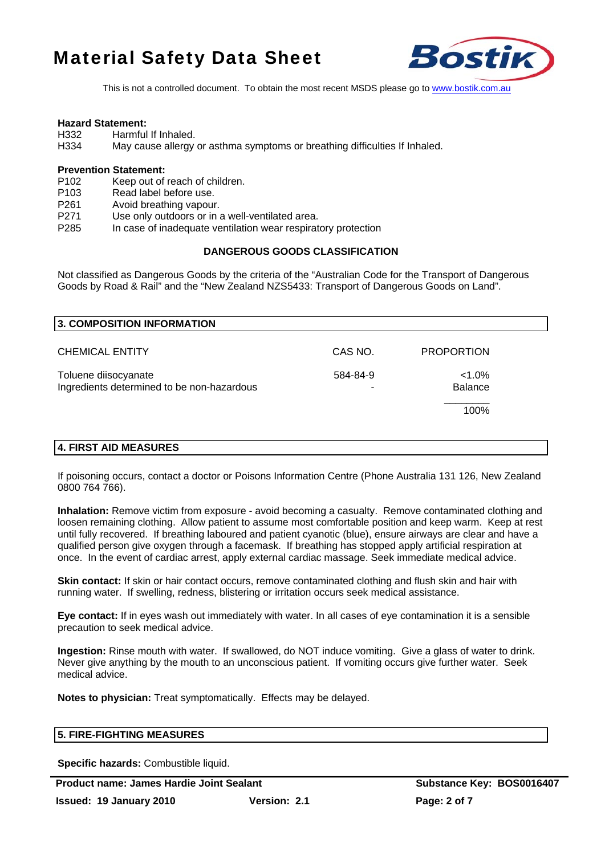

This is not a controlled document. To obtain the most recent MSDS please go to www.bostik.com.au

#### **Hazard Statement:**

- H332 Harmful If Inhaled.
- H334 May cause allergy or asthma symptoms or breathing difficulties If Inhaled.

#### **Prevention Statement:**

- P102 Keep out of reach of children.
- P103 Read label before use.
- P261 Avoid breathing vapour.
- P271 Use only outdoors or in a well-ventilated area.
- P285 In case of inadequate ventilation wear respiratory protection

# **DANGEROUS GOODS CLASSIFICATION**

Not classified as Dangerous Goods by the criteria of the "Australian Code for the Transport of Dangerous Goods by Road & Rail" and the "New Zealand NZS5433: Transport of Dangerous Goods on Land".

| 3. COMPOSITION INFORMATION                                         |               |                             |  |
|--------------------------------------------------------------------|---------------|-----------------------------|--|
| <b>CHEMICAL ENTITY</b>                                             | CAS NO.       | <b>PROPORTION</b>           |  |
| Toluene diisocyanate<br>Ingredients determined to be non-hazardous | 584-84-9<br>۰ | $< 1.0\%$<br><b>Balance</b> |  |
|                                                                    |               | 100%                        |  |

# **4. FIRST AID MEASURES**

If poisoning occurs, contact a doctor or Poisons Information Centre (Phone Australia 131 126, New Zealand 0800 764 766).

**Inhalation:** Remove victim from exposure - avoid becoming a casualty. Remove contaminated clothing and loosen remaining clothing. Allow patient to assume most comfortable position and keep warm. Keep at rest until fully recovered. If breathing laboured and patient cyanotic (blue), ensure airways are clear and have a qualified person give oxygen through a facemask. If breathing has stopped apply artificial respiration at once. In the event of cardiac arrest, apply external cardiac massage. Seek immediate medical advice.

**Skin contact:** If skin or hair contact occurs, remove contaminated clothing and flush skin and hair with running water. If swelling, redness, blistering or irritation occurs seek medical assistance.

**Eye contact:** If in eyes wash out immediately with water. In all cases of eye contamination it is a sensible precaution to seek medical advice.

**Ingestion:** Rinse mouth with water. If swallowed, do NOT induce vomiting. Give a glass of water to drink. Never give anything by the mouth to an unconscious patient. If vomiting occurs give further water. Seek medical advice.

**Notes to physician:** Treat symptomatically. Effects may be delayed.

# **5. FIRE-FIGHTING MEASURES**

**Specific hazards:** Combustible liquid.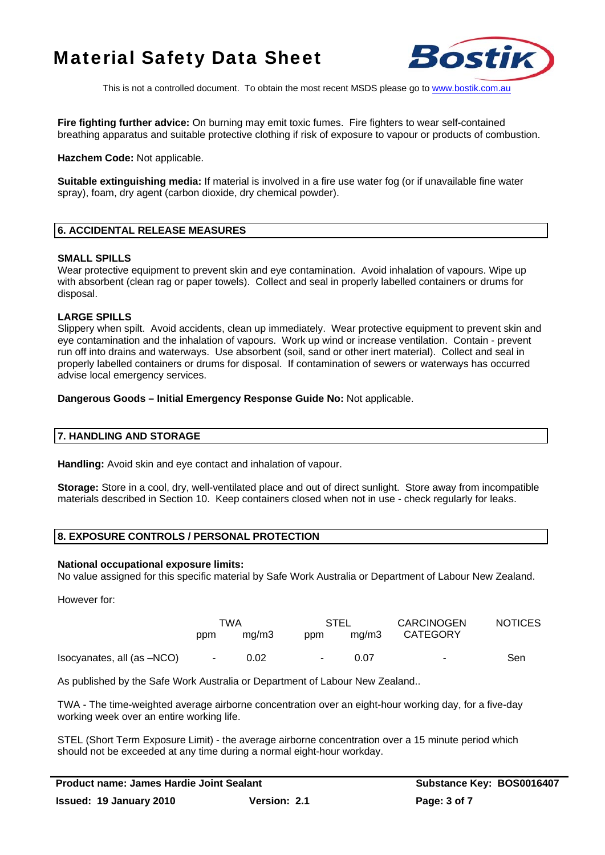

This is not a controlled document. To obtain the most recent MSDS please go to www.bostik.com.au

**Fire fighting further advice:** On burning may emit toxic fumes. Fire fighters to wear self-contained breathing apparatus and suitable protective clothing if risk of exposure to vapour or products of combustion.

**Hazchem Code:** Not applicable.

**Suitable extinguishing media:** If material is involved in a fire use water fog (or if unavailable fine water spray), foam, dry agent (carbon dioxide, dry chemical powder).

# **6. ACCIDENTAL RELEASE MEASURES**

### **SMALL SPILLS**

Wear protective equipment to prevent skin and eye contamination. Avoid inhalation of vapours. Wipe up with absorbent (clean rag or paper towels). Collect and seal in properly labelled containers or drums for disposal.

# **LARGE SPILLS**

Slippery when spilt. Avoid accidents, clean up immediately. Wear protective equipment to prevent skin and eye contamination and the inhalation of vapours. Work up wind or increase ventilation. Contain - prevent run off into drains and waterways. Use absorbent (soil, sand or other inert material). Collect and seal in properly labelled containers or drums for disposal. If contamination of sewers or waterways has occurred advise local emergency services.

### **Dangerous Goods – Initial Emergency Response Guide No:** Not applicable.

# **7. HANDLING AND STORAGE**

**Handling:** Avoid skin and eye contact and inhalation of vapour.

**Storage:** Store in a cool, dry, well-ventilated place and out of direct sunlight. Store away from incompatible materials described in Section 10. Keep containers closed when not in use - check regularly for leaks.

# **8. EXPOSURE CONTROLS / PERSONAL PROTECTION**

### **National occupational exposure limits:**

No value assigned for this specific material by Safe Work Australia or Department of Labour New Zealand.

However for:

|                            | TWA    |       | STEL   |       | <b>CARCINOGEN</b> | <b>NOTICES</b> |
|----------------------------|--------|-------|--------|-------|-------------------|----------------|
|                            | ppm    | ma/m3 | ppm    | ma/m3 | CATEGORY          |                |
| Isocyanates, all (as -NCO) | $\sim$ | 0.02  | $\sim$ | 0.07  | $\sim$            | <b>Sen</b>     |

As published by the Safe Work Australia or Department of Labour New Zealand..

TWA - The time-weighted average airborne concentration over an eight-hour working day, for a five-day working week over an entire working life.

STEL (Short Term Exposure Limit) - the average airborne concentration over a 15 minute period which should not be exceeded at any time during a normal eight-hour workday.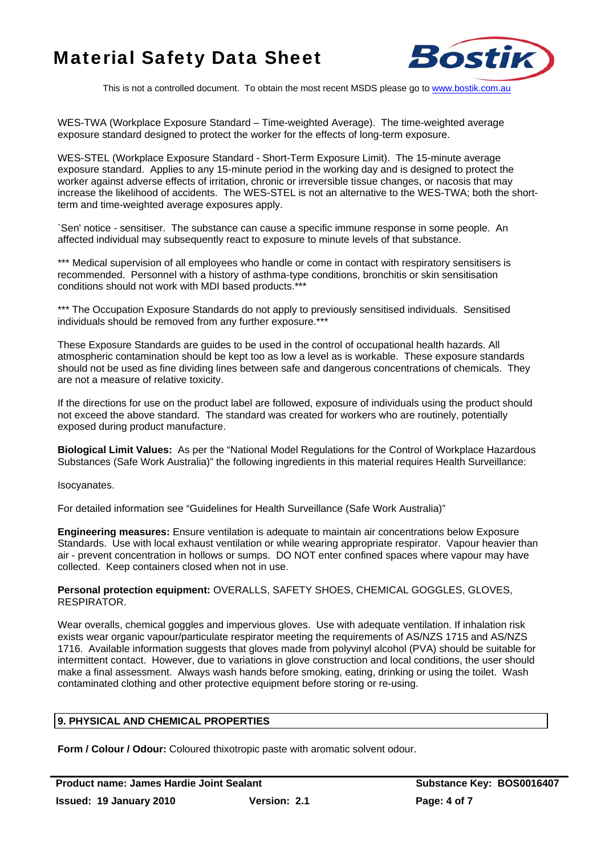

This is not a controlled document. To obtain the most recent MSDS please go to www.bostik.com.au

WES-TWA (Workplace Exposure Standard – Time-weighted Average). The time-weighted average exposure standard designed to protect the worker for the effects of long-term exposure.

WES-STEL (Workplace Exposure Standard - Short-Term Exposure Limit). The 15-minute average exposure standard. Applies to any 15-minute period in the working day and is designed to protect the worker against adverse effects of irritation, chronic or irreversible tissue changes, or nacosis that may increase the likelihood of accidents. The WES-STEL is not an alternative to the WES-TWA; both the shortterm and time-weighted average exposures apply.

`Sen' notice - sensitiser. The substance can cause a specific immune response in some people. An affected individual may subsequently react to exposure to minute levels of that substance.

\*\*\* Medical supervision of all employees who handle or come in contact with respiratory sensitisers is recommended. Personnel with a history of asthma-type conditions, bronchitis or skin sensitisation conditions should not work with MDI based products.\*

\*\*\* The Occupation Exposure Standards do not apply to previously sensitised individuals. Sensitised individuals should be removed from any further exposure.\*\*\*

These Exposure Standards are guides to be used in the control of occupational health hazards. All atmospheric contamination should be kept too as low a level as is workable. These exposure standards should not be used as fine dividing lines between safe and dangerous concentrations of chemicals. They are not a measure of relative toxicity.

If the directions for use on the product label are followed, exposure of individuals using the product should not exceed the above standard. The standard was created for workers who are routinely, potentially exposed during product manufacture.

**Biological Limit Values:** As per the "National Model Regulations for the Control of Workplace Hazardous Substances (Safe Work Australia)" the following ingredients in this material requires Health Surveillance:

Isocyanates.

For detailed information see "Guidelines for Health Surveillance (Safe Work Australia)"

**Engineering measures:** Ensure ventilation is adequate to maintain air concentrations below Exposure Standards. Use with local exhaust ventilation or while wearing appropriate respirator. Vapour heavier than air - prevent concentration in hollows or sumps. DO NOT enter confined spaces where vapour may have collected. Keep containers closed when not in use.

### **Personal protection equipment:** OVERALLS, SAFETY SHOES, CHEMICAL GOGGLES, GLOVES, RESPIRATOR.

Wear overalls, chemical goggles and impervious gloves. Use with adequate ventilation. If inhalation risk exists wear organic vapour/particulate respirator meeting the requirements of AS/NZS 1715 and AS/NZS 1716. Available information suggests that gloves made from polyvinyl alcohol (PVA) should be suitable for intermittent contact. However, due to variations in glove construction and local conditions, the user should make a final assessment. Always wash hands before smoking, eating, drinking or using the toilet. Wash contaminated clothing and other protective equipment before storing or re-using.

# **9. PHYSICAL AND CHEMICAL PROPERTIES**

**Form / Colour / Odour:** Coloured thixotropic paste with aromatic solvent odour.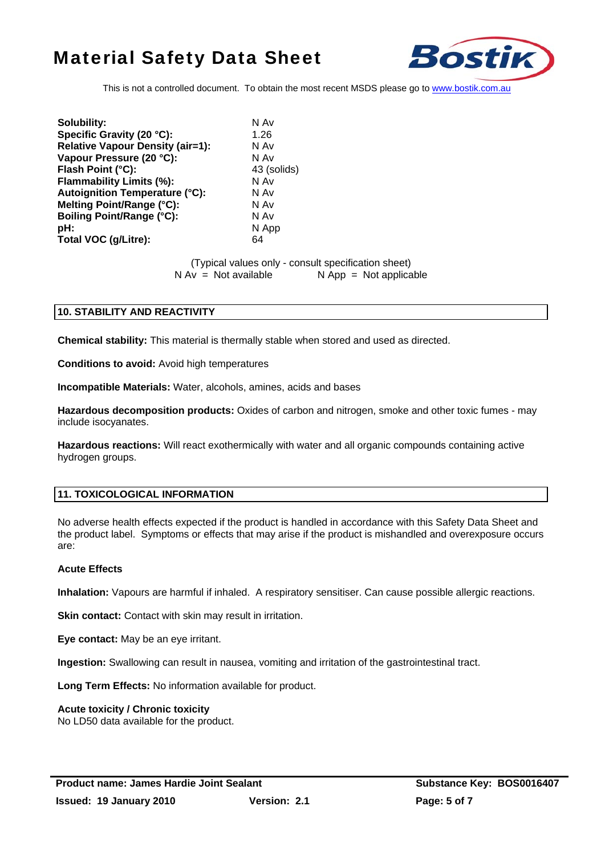

This is not a controlled document. To obtain the most recent MSDS please go to www.bostik.com.au

**Solubility:** N Av **Specific Gravity (20 °C):** 1.26 **Relative Vapour Density (air=1):** N Av<br> **Vapour Pressure (20 °C):** N Av Vapour Pressure (20 °C): **Flash Point (°C):** 43 (solids) **Flammability Limits (%):** N Av **Autoignition Temperature (°C):** N Av **Melting Point/Range (°C):** N Av **Boiling Point/Range (°C):** N Av **pH:** N App **Total VOC (g/Litre):** 64

(Typical values only - consult specification sheet)

 $N Av = Not available$   $N App = Not applicable$ 

# **10. STABILITY AND REACTIVITY**

**Chemical stability:** This material is thermally stable when stored and used as directed.

**Conditions to avoid:** Avoid high temperatures

**Incompatible Materials:** Water, alcohols, amines, acids and bases

**Hazardous decomposition products:** Oxides of carbon and nitrogen, smoke and other toxic fumes - may include isocyanates.

**Hazardous reactions:** Will react exothermically with water and all organic compounds containing active hydrogen groups.

# **11. TOXICOLOGICAL INFORMATION**

No adverse health effects expected if the product is handled in accordance with this Safety Data Sheet and the product label. Symptoms or effects that may arise if the product is mishandled and overexposure occurs are:

### **Acute Effects**

**Inhalation:** Vapours are harmful if inhaled. A respiratory sensitiser. Can cause possible allergic reactions.

**Skin contact:** Contact with skin may result in irritation.

**Eye contact:** May be an eye irritant.

**Ingestion:** Swallowing can result in nausea, vomiting and irritation of the gastrointestinal tract.

**Long Term Effects:** No information available for product.

### **Acute toxicity / Chronic toxicity**

No LD50 data available for the product.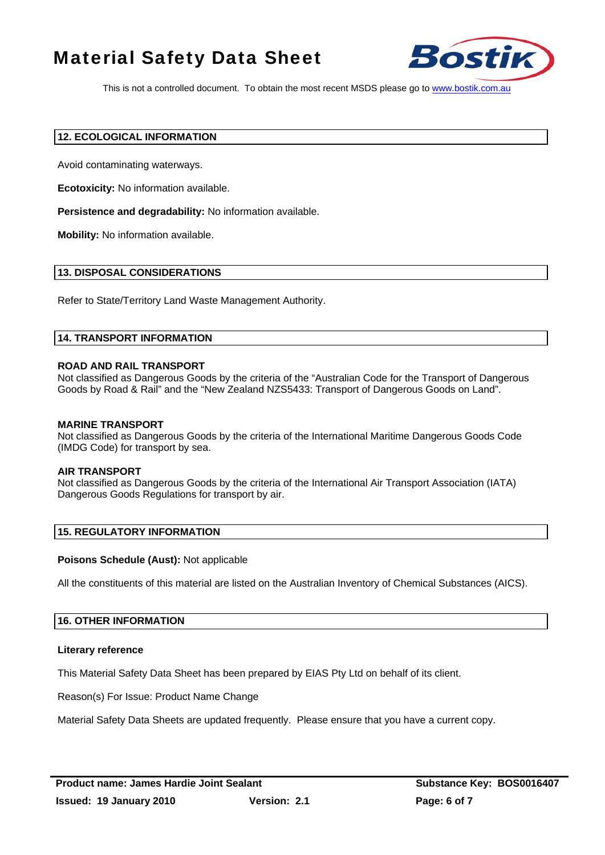

This is not a controlled document. To obtain the most recent MSDS please go to www.bostik.com.au

### **12. ECOLOGICAL INFORMATION**

Avoid contaminating waterways.

**Ecotoxicity:** No information available.

**Persistence and degradability:** No information available.

**Mobility:** No information available.

# **13. DISPOSAL CONSIDERATIONS**

Refer to State/Territory Land Waste Management Authority.

# **14. TRANSPORT INFORMATION**

### **ROAD AND RAIL TRANSPORT**

Not classified as Dangerous Goods by the criteria of the "Australian Code for the Transport of Dangerous Goods by Road & Rail" and the "New Zealand NZS5433: Transport of Dangerous Goods on Land".

### **MARINE TRANSPORT**

Not classified as Dangerous Goods by the criteria of the International Maritime Dangerous Goods Code (IMDG Code) for transport by sea.

### **AIR TRANSPORT**

Not classified as Dangerous Goods by the criteria of the International Air Transport Association (IATA) Dangerous Goods Regulations for transport by air.

# **15. REGULATORY INFORMATION**

### **Poisons Schedule (Aust):** Not applicable

All the constituents of this material are listed on the Australian Inventory of Chemical Substances (AICS).

# **16. OTHER INFORMATION**

### **Literary reference**

This Material Safety Data Sheet has been prepared by EIAS Pty Ltd on behalf of its client.

Reason(s) For Issue: Product Name Change

Material Safety Data Sheets are updated frequently. Please ensure that you have a current copy.